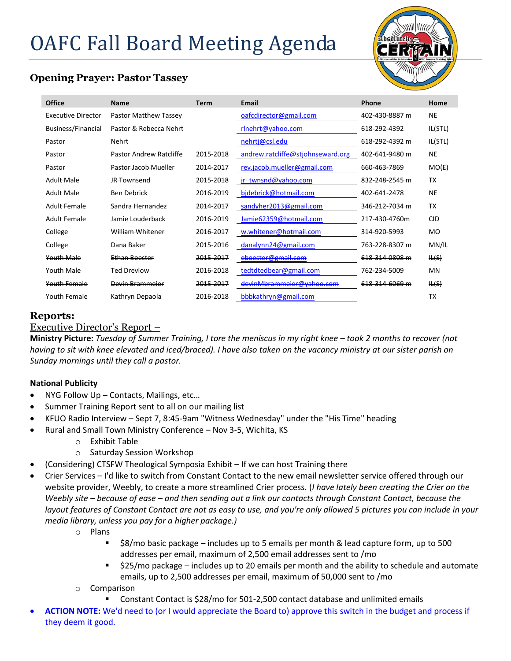# OAFC Fall Board Meeting Agenda



# **Opening Prayer: Pastor Tassey**

| Office                    | <b>Name</b>             | <b>Term</b> | Email                             | Phone          | Home           |
|---------------------------|-------------------------|-------------|-----------------------------------|----------------|----------------|
| <b>Executive Director</b> | Pastor Matthew Tassey   |             | oafcdirector@gmail.com            | 402-430-8887 m | <b>NE</b>      |
| Business/Financial        | Pastor & Rebecca Nehrt  |             | rlnehrt@yahoo.com                 | 618-292-4392   | IL(STL)        |
| Pastor                    | <b>Nehrt</b>            |             | nehrtj@csl.edu                    | 618-292-4392 m | IL(STL)        |
| Pastor                    | Pastor Andrew Ratcliffe | 2015-2018   | andrew.ratcliffe@stjohnseward.org | 402-641-9480 m | <b>NE</b>      |
| Pastor                    | Pastor Jacob Mueller    | 2014-2017   | rev.jacob.mueller@gmail.com       | 660-463-7869   | MO(E)          |
| Adult Male                | <b>JR</b> Townsend      | 2015-2018   | jr twnsnd@yahoo.com               | 832-248-2545 m | <b>TX</b>      |
| Adult Male                | Ben Debrick             | 2016-2019   | bidebrick@hotmail.com             | 402-641-2478   | NE             |
| <b>Adult Female</b>       | Sandra Hernandez        | 2014-2017   | sandyher2013@gmail.com            | 346-212-7034 m | <b>TX</b>      |
| Adult Female              | Jamie Louderback        | 2016-2019   | Jamie 62359@hotmail.com           | 217-430-4760m  | <b>CID</b>     |
| College                   | William Whitener        | 2016-2017   | w.whitener@hotmail.com            | 314-920-5993   | M <sub>O</sub> |
| College                   | Dana Baker              | 2015-2016   | danalynn24@gmail.com              | 763-228-8307 m | MN/IL          |
| Youth Male                | Ethan Boester           | 2015-2017   | eboester@gmail.com                | 618-314-0808 m | H(S)           |
| Youth Male                | Ted Drevlow             | 2016-2018   | tedtdtedbear@gmail.com            | 762-234-5009   | MN             |
| Youth Female              | Devin Brammeier         | 2015-2017   | devinMbrammeier@yahoo.com         | 618-314-6069 m | H(S)           |
| Youth Female              | Kathryn Depaola         | 2016-2018   | bbbkathryn@gmail.com              |                | <b>TX</b>      |

## **Reports:**

## Executive Director's Report –

**Ministry Picture:** *Tuesday of Summer Training, I tore the meniscus in my right knee – took 2 months to recover (not having to sit with knee elevated and iced/braced). I have also taken on the vacancy ministry at our sister parish on Sunday mornings until they call a pastor.* 

## **National Publicity**

- NYG Follow Up Contacts, Mailings, etc...
- Summer Training Report sent to all on our mailing list
- KFUO Radio Interview Sept 7, 8:45-9am "Witness Wednesday" under the "His Time" heading
- Rural and Small Town Ministry Conference Nov 3-5, Wichita, KS
	- o Exhibit Table
	- o Saturday Session Workshop
- (Considering) CTSFW Theological Symposia Exhibit If we can host Training there
- Crier Services I'd like to switch from Constant Contact to the new email newsletter service offered through our website provider, Weebly, to create a more streamlined Crier process. (*I have lately been creating the Crier on the Weebly site – because of ease – and then sending out a link our contacts through Constant Contact, because the layout features of Constant Contact are not as easy to use, and you're only allowed 5 pictures you can include in your media library, unless you pay for a higher package.)*
	- o Plans
		- $\blacksquare$  \$8/mo basic package includes up to 5 emails per month & lead capture form, up to 500 addresses per email, maximum of 2,500 email addresses sent to /mo
		- $\blacksquare$  \$25/mo package includes up to 20 emails per month and the ability to schedule and automate emails, up to 2,500 addresses per email, maximum of 50,000 sent to /mo
	- o Comparison
		- Constant Contact is \$28/mo for 501-2,500 contact database and unlimited emails
- **ACTION NOTE:** We'd need to (or I would appreciate the Board to) approve this switch in the budget and process if they deem it good.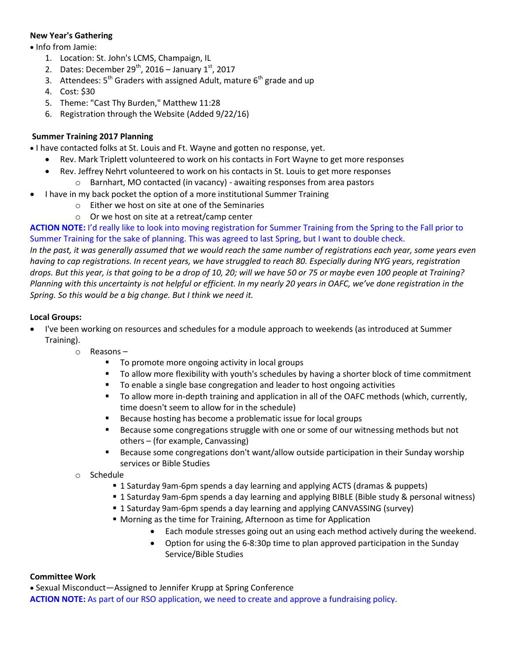## **New Year's Gathering**

• Info from Jamie:

- 1. Location: St. John's LCMS, Champaign, IL
- 2. Dates: December  $29^{th}$ , 2016 January  $1^{st}$ , 2017
- 3. Attendees:  $5<sup>th</sup>$  Graders with assigned Adult, mature  $6<sup>th</sup>$  grade and up
- 4. Cost: \$30
- 5. Theme: "Cast Thy Burden," Matthew 11:28
- 6. Registration through the Website (Added 9/22/16)

#### **Summer Training 2017 Planning**

I have contacted folks at St. Louis and Ft. Wayne and gotten no response, yet.

- Rev. Mark Triplett volunteered to work on his contacts in Fort Wayne to get more responses
- Rev. Jeffrey Nehrt volunteered to work on his contacts in St. Louis to get more responses
	- o Barnhart, MO contacted (in vacancy) awaiting responses from area pastors
- I have in my back pocket the option of a more institutional Summer Training
	- o Either we host on site at one of the Seminaries
	- o Or we host on site at a retreat/camp center

**ACTION NOTE:** I'd really like to look into moving registration for Summer Training from the Spring to the Fall prior to Summer Training for the sake of planning. This was agreed to last Spring, but I want to double check.

*In the past, it was generally assumed that we would reach the same number of registrations each year, some years even having to cap registrations. In recent years, we have struggled to reach 80. Especially during NYG years, registration drops. But this year, is that going to be a drop of 10, 20; will we have 50 or 75 or maybe even 100 people at Training? Planning with this uncertainty is not helpful or efficient. In my nearly 20 years in OAFC, we've done registration in the Spring. So this would be a big change. But I think we need it.*

#### **Local Groups:**

- I've been working on resources and schedules for a module approach to weekends (as introduced at Summer Training).
	- o Reasons
		- To promote more ongoing activity in local groups
		- To allow more flexibility with youth's schedules by having a shorter block of time commitment
		- To enable a single base congregation and leader to host ongoing activities
		- To allow more in-depth training and application in all of the OAFC methods (which, currently, time doesn't seem to allow for in the schedule)
		- **Because hosting has become a problematic issue for local groups**
		- **Because some congregations struggle with one or some of our witnessing methods but not** others – (for example, Canvassing)
		- **Because some congregations don't want/allow outside participation in their Sunday worship** services or Bible Studies
	- o Schedule
		- 1 Saturday 9am-6pm spends a day learning and applying ACTS (dramas & puppets)
		- 1 Saturday 9am-6pm spends a day learning and applying BIBLE (Bible study & personal witness)
		- 1 Saturday 9am-6pm spends a day learning and applying CANVASSING (survey)
		- Morning as the time for Training, Afternoon as time for Application
			- Each module stresses going out an using each method actively during the weekend.
			- Option for using the 6-8:30p time to plan approved participation in the Sunday Service/Bible Studies

#### **Committee Work**

 Sexual Misconduct—Assigned to Jennifer Krupp at Spring Conference **ACTION NOTE:** As part of our RSO application, we need to create and approve a fundraising policy.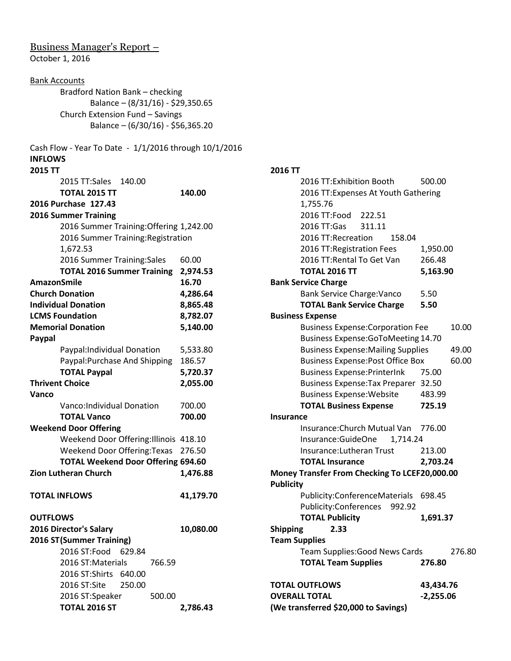## Business Manager's Report – October 1, 2016

Bank Accounts

| <b>DUTIN ACCOUTLS</b>                                 |                                   |  |  |  |  |  |
|-------------------------------------------------------|-----------------------------------|--|--|--|--|--|
| Bradford Nation Bank - checking                       |                                   |  |  |  |  |  |
|                                                       | Balance - (8/31/16) - \$29,350.65 |  |  |  |  |  |
| Church Extension Fund - Savings                       |                                   |  |  |  |  |  |
| Balance - (6/30/16) - \$56,365.20                     |                                   |  |  |  |  |  |
| Cash Flow - Year To Date - 1/1/2016 through 10/1/2016 |                                   |  |  |  |  |  |
| <b>INFLOWS</b>                                        |                                   |  |  |  |  |  |
| 2015 TT                                               |                                   |  |  |  |  |  |
| 2015 TT:Sales<br>140.00                               |                                   |  |  |  |  |  |
| <b>TOTAL 2015 TT</b>                                  | 140.00                            |  |  |  |  |  |
| 2016 Purchase 127.43                                  |                                   |  |  |  |  |  |
| <b>2016 Summer Training</b>                           |                                   |  |  |  |  |  |
| 2016 Summer Training: Offering 1,242.00               |                                   |  |  |  |  |  |
| 2016 Summer Training: Registration                    |                                   |  |  |  |  |  |
| 1,672.53                                              |                                   |  |  |  |  |  |
| 2016 Summer Training: Sales                           | 60.00                             |  |  |  |  |  |
| <b>TOTAL 2016 Summer Training</b>                     | 2,974.53                          |  |  |  |  |  |
| <b>AmazonSmile</b>                                    | 16.70                             |  |  |  |  |  |
| <b>Church Donation</b>                                |                                   |  |  |  |  |  |
| <b>Individual Donation</b>                            | 4,286.64                          |  |  |  |  |  |
| <b>LCMS Foundation</b>                                | 8,865.48                          |  |  |  |  |  |
| <b>Memorial Donation</b>                              | 8,782.07                          |  |  |  |  |  |
|                                                       | 5,140.00                          |  |  |  |  |  |
| Paypal                                                |                                   |  |  |  |  |  |
| Paypal: Individual Donation                           | 5,533.80                          |  |  |  |  |  |
| Paypal: Purchase And Shipping                         | 186.57                            |  |  |  |  |  |
| <b>TOTAL Paypal</b>                                   | 5,720.37                          |  |  |  |  |  |
| <b>Thrivent Choice</b>                                | 2,055.00                          |  |  |  |  |  |
| Vanco                                                 |                                   |  |  |  |  |  |
| Vanco:Individual Donation                             | 700.00                            |  |  |  |  |  |
| <b>TOTAL Vanco</b>                                    | 700.00                            |  |  |  |  |  |
| <b>Weekend Door Offering</b>                          |                                   |  |  |  |  |  |
| Weekend Door Offering: Illinois 418.10                |                                   |  |  |  |  |  |
| <b>Weekend Door Offering: Texas</b>                   | 276.50                            |  |  |  |  |  |
| <b>TOTAL Weekend Door Offering 694.60</b>             |                                   |  |  |  |  |  |
| <b>Zion Lutheran Church</b>                           | 1,476.88                          |  |  |  |  |  |
| <b>TOTAL INFLOWS</b>                                  | 41,179.70                         |  |  |  |  |  |
| <b>OUTFLOWS</b>                                       |                                   |  |  |  |  |  |
| 2016 Director's Salary                                | 10,080.00                         |  |  |  |  |  |
| 2016 ST (Summer Training)                             |                                   |  |  |  |  |  |
| 2016 ST:Food<br>629.84                                |                                   |  |  |  |  |  |
| 2016 ST:Materials<br>766.59                           |                                   |  |  |  |  |  |
| 2016 ST:Shirts 640.00                                 |                                   |  |  |  |  |  |
| 2016 ST:Site<br>250.00                                |                                   |  |  |  |  |  |
| 2016 ST:Speaker<br>500.00                             |                                   |  |  |  |  |  |
| <b>TOTAL 2016 ST</b>                                  | 2,786.43                          |  |  |  |  |  |
|                                                       |                                   |  |  |  |  |  |

| 2016 TT                                       |                                      |  |  |  |  |  |
|-----------------------------------------------|--------------------------------------|--|--|--|--|--|
|                                               | 2016 TT: Exhibition Booth<br>500.00  |  |  |  |  |  |
|                                               | 2016 TT: Expenses At Youth Gathering |  |  |  |  |  |
| 1,755.76                                      |                                      |  |  |  |  |  |
| 2016 TT:Food 222.51                           |                                      |  |  |  |  |  |
| 2016 TT:Gas<br>311.11                         |                                      |  |  |  |  |  |
| 2016 TT:Recreation<br>158.04                  |                                      |  |  |  |  |  |
| 2016 TT: Registration Fees                    | 1,950.00                             |  |  |  |  |  |
| 2016 TT: Rental To Get Van                    | 266.48                               |  |  |  |  |  |
| <b>TOTAL 2016 TT</b>                          | 5,163.90                             |  |  |  |  |  |
| <b>Bank Service Charge</b>                    |                                      |  |  |  |  |  |
| <b>Bank Service Charge: Vanco</b>             | 5.50                                 |  |  |  |  |  |
| <b>TOTAL Bank Service Charge</b>              | 5.50                                 |  |  |  |  |  |
| <b>Business Expense</b>                       |                                      |  |  |  |  |  |
| <b>Business Expense: Corporation Fee</b>      | 10.00                                |  |  |  |  |  |
| Business Expense: GoToMeeting 14.70           |                                      |  |  |  |  |  |
| <b>Business Expense: Mailing Supplies</b>     | 49.00                                |  |  |  |  |  |
| <b>Business Expense: Post Office Box</b>      | 60.00                                |  |  |  |  |  |
| <b>Business Expense: PrinterInk</b>           | 75.00                                |  |  |  |  |  |
| Business Expense: Tax Preparer 32.50          |                                      |  |  |  |  |  |
| <b>Business Expense: Website</b>              | 483.99                               |  |  |  |  |  |
| <b>TOTAL Business Expense</b>                 | 725.19                               |  |  |  |  |  |
| <b>Insurance</b>                              |                                      |  |  |  |  |  |
| Insurance: Church Mutual Van 776.00           |                                      |  |  |  |  |  |
| Insurance: GuideOne<br>1,714.24               |                                      |  |  |  |  |  |
| Insurance: Lutheran Trust                     | 213.00                               |  |  |  |  |  |
| <b>TOTAL Insurance</b>                        | 2,703.24                             |  |  |  |  |  |
| Money Transfer From Checking To LCEF20,000.00 |                                      |  |  |  |  |  |
| <b>Publicity</b>                              |                                      |  |  |  |  |  |
| Publicity: Conference Materials               | 698.45                               |  |  |  |  |  |
| Publicity:Conferences<br>992.92               |                                      |  |  |  |  |  |
| <b>TOTAL Publicity</b>                        | 1,691.37                             |  |  |  |  |  |
| <b>Shipping</b><br>2.33                       |                                      |  |  |  |  |  |
| <b>Team Supplies</b>                          |                                      |  |  |  |  |  |
| <b>Team Supplies: Good News Cards</b>         | 276.80                               |  |  |  |  |  |
| <b>TOTAL Team Supplies</b>                    | 276.80                               |  |  |  |  |  |
|                                               |                                      |  |  |  |  |  |
| <b>TOTAL OUTFLOWS</b><br>43,434.76            |                                      |  |  |  |  |  |
| <b>OVERALL TOTAL</b><br>$-2,255.06$           |                                      |  |  |  |  |  |
| (We transferred \$20,000 to Savings)          |                                      |  |  |  |  |  |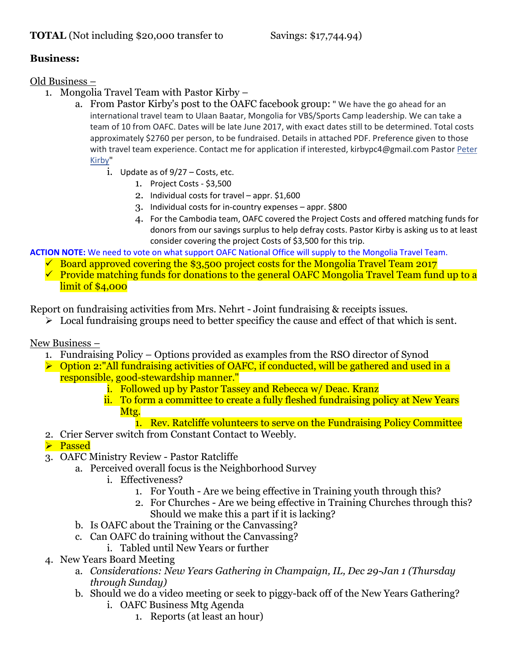# **TOTAL** (Not including \$20,000 transfer to Savings: \$17,744.94)

# **Business:**

Old Business –

- 1. Mongolia Travel Team with Pastor Kirby
	- a. From Pastor Kirby's post to the OAFC facebook group: " We have the go ahead for an international travel team to Ulaan Baatar, Mongolia for VBS/Sports Camp leadership. We can take a team of 10 from OAFC. Dates will be late June 2017, with exact dates still to be determined. Total costs approximately \$2760 per person, to be fundraised. Details in attached PDF. Preference given to those with travel team experience. Contact me for application if interested, kirbypc4@gmail.com Pastor Peter [Kirby"](https://www.facebook.com/kirbypc)
		- i. Update as of 9/27 Costs, etc.
			- 1. Project Costs \$3,500
			- 2. Individual costs for travel appr. \$1,600
			- 3. Individual costs for in-country expenses appr. \$800
			- 4. For the Cambodia team, OAFC covered the Project Costs and offered matching funds for donors from our savings surplus to help defray costs. Pastor Kirby is asking us to at least consider covering the project Costs of \$3,500 for this trip.

**ACTION NOTE:** We need to vote on what support OAFC National Office will supply to the Mongolia Travel Team.

- $\checkmark$  Board approved covering the \$3,500 project costs for the Mongolia Travel Team 2017
- $\checkmark$  Provide matching funds for donations to the general OAFC Mongolia Travel Team fund up to a limit of \$4,000

Report on fundraising activities from Mrs. Nehrt - Joint fundraising & receipts issues.

 $\triangleright$  Local fundraising groups need to better specificy the cause and effect of that which is sent.

New Business –

- 1. Fundraising Policy Options provided as examples from the RSO director of Synod
- $\triangleright$  Option 2:"All fundraising activities of OAFC, if conducted, will be gathered and used in a responsible, good-stewardship manner."
	- i. Followed up by Pastor Tassey and Rebecca w/ Deac. Kranz
	- ii. To form a committee to create a fully fleshed fundraising policy at New Years Mtg.
		- 1. Rev. Ratcliffe volunteers to serve on the Fundraising Policy Committee
- 2. Crier Server switch from Constant Contact to Weebly.
- **>** Passed
- 3. OAFC Ministry Review Pastor Ratcliffe
	- a. Perceived overall focus is the Neighborhood Survey
		- i. Effectiveness?
			- 1. For Youth Are we being effective in Training youth through this?
			- 2. For Churches Are we being effective in Training Churches through this? Should we make this a part if it is lacking?
	- b. Is OAFC about the Training or the Canvassing?
	- c. Can OAFC do training without the Canvassing?
	- i. Tabled until New Years or further
- 4. New Years Board Meeting
	- a. *Considerations: New Years Gathering in Champaign, IL, Dec 29-Jan 1 (Thursday through Sunday)*
	- b. Should we do a video meeting or seek to piggy-back off of the New Years Gathering? i. OAFC Business Mtg Agenda
		- 1. Reports (at least an hour)